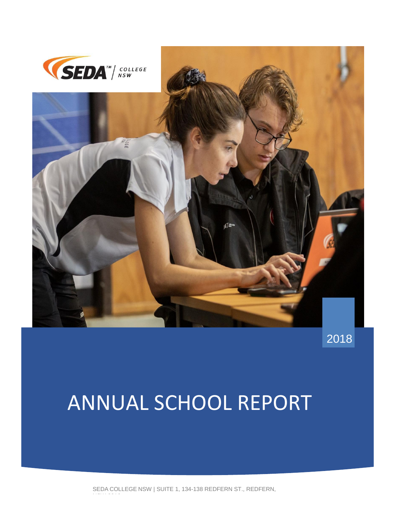



2018

# ANNUAL SCHOOL REPORT

SEDA COLLEGE NSW | SUITE 1, 134-138 REDFERN ST., REDFERN,

nsw 2016<br>1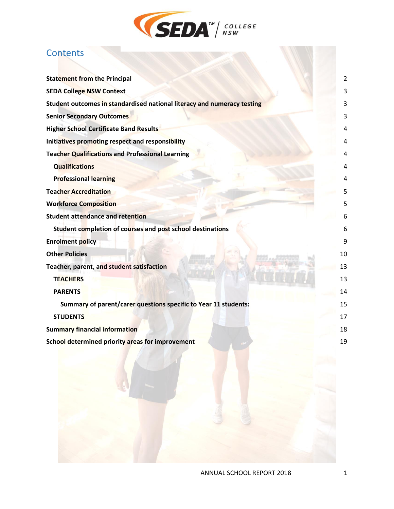

# **Contents**

| <b>Statement from the Principal</b>                                     | 2  |
|-------------------------------------------------------------------------|----|
| <b>SEDA College NSW Context</b>                                         | 3  |
| Student outcomes in standardised national literacy and numeracy testing | 3  |
| <b>Senior Secondary Outcomes</b>                                        |    |
| <b>Higher School Certificate Band Results</b>                           |    |
| Initiatives promoting respect and responsibility                        |    |
| <b>Teacher Qualifications and Professional Learning</b>                 |    |
| <b>Qualifications</b>                                                   |    |
| <b>Professional learning</b>                                            |    |
| <b>Teacher Accreditation</b>                                            |    |
| <b>Workforce Composition</b>                                            | 5  |
| <b>Student attendance and retention</b>                                 |    |
| Student completion of courses and post school destinations              |    |
| <b>Enrolment policy</b>                                                 | 9  |
| <b>Other Policies</b>                                                   | 10 |
| Teacher, parent, and student satisfaction                               | 13 |
| <b>TEACHERS</b>                                                         | 13 |
| <b>PARENTS</b>                                                          | 14 |
| Summary of parent/carer questions specific to Year 11 students:         | 15 |
| <b>STUDENTS</b>                                                         | 17 |
| <b>Summary financial information</b>                                    | 18 |
| School determined priority areas for improvement                        | 19 |
|                                                                         |    |
|                                                                         |    |
|                                                                         |    |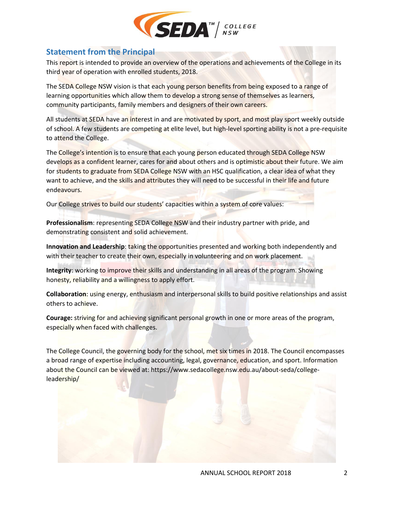

### <span id="page-2-0"></span>**Statement from the Principal**

This report is intended to provide an overview of the operations and achievements of the College in its third year of operation with enrolled students, 2018.

The SEDA College NSW vision is that each young person benefits from being exposed to a range of learning opportunities which allow them to develop a strong sense of themselves as learners, community participants, family members and designers of their own careers.

All students at SEDA have an interest in and are motivated by sport, and most play sport weekly outside of school. A few students are competing at elite level, but high-level sporting ability is not a pre-requisite to attend the College.

The College's intention is to ensure that each young person educated through SEDA College NSW develops as a confident learner, cares for and about others and is optimistic about their future. We aim for students to graduate from SEDA College NSW with an HSC qualification, a clear idea of what they want to achieve, and the skills and attributes they will need to be successful in their life and future endeavours.

Our College strives to build our students' capacities within a system of core values:

**Professionalism**: representing SEDA College NSW and their industry partner with pride, and demonstrating consistent and solid achievement.

**Innovation and Leadership**: taking the opportunities presented and working both independently and with their teacher to create their own, especially in volunteering and on work placement.

**Integrity**: working to improve their skills and understanding in all areas of the program. Showing honesty, reliability and a willingness to apply effort.

**Collaboration**: using energy, enthusiasm and interpersonal skills to build positive relationships and assist others to achieve.

**Courage:** striving for and achieving significant personal growth in one or more areas of the program, especially when faced with challenges.

The College Council, the governing body for the school, met six times in 2018. The Council encompasses a broad range of expertise including accounting, legal, governance, education, and sport. Information about the Council can be viewed at: https://www.sedacollege.nsw.edu.au/about-seda/collegeleadership/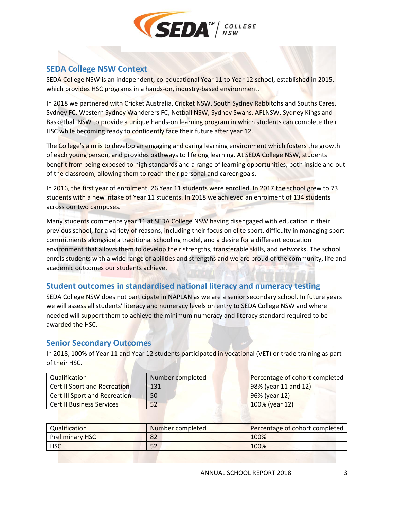

## <span id="page-3-0"></span>**SEDA College NSW Context**

SEDA College NSW is an independent, co-educational Year 11 to Year 12 school, established in 2015, which provides HSC programs in a hands-on, industry-based environment.

In 2018 we partnered with Cricket Australia, Cricket NSW, South Sydney Rabbitohs and Souths Cares, Sydney FC, Western Sydney Wanderers FC, Netball NSW, Sydney Swans, AFLNSW, Sydney Kings and Basketball NSW to provide a unique hands-on learning program in which students can complete their HSC while becoming ready to confidently face their future after year 12.

The College's aim is to develop an engaging and caring learning environment which fosters the growth of each young person, and provides pathways to lifelong learning. At SEDA College NSW, students benefit from being exposed to high standards and a range of learning opportunities, both inside and out of the classroom, allowing them to reach their personal and career goals.

In 2016, the first year of enrolment, 26 Year 11 students were enrolled. In 2017 the school grew to 73 students with a new intake of Year 11 students. In 2018 we achieved an enrolment of 134 students across our two campuses.

Many students commence year 11 at SEDA College NSW having disengaged with education in their previous school, for a variety of reasons, including their focus on elite sport, difficulty in managing sport commitments alongside a traditional schooling model, and a desire for a different education environment that allows them to develop their strengths, transferable skills, and networks. The school enrols students with a wide range of abilities and strengths and we are proud of the community, life and academic outcomes our students achieve.

#### <span id="page-3-1"></span>**Student outcomes in standardised national literacy and numeracy testing**

SEDA College NSW does not participate in NAPLAN as we are a senior secondary school. In future years we will assess all students' literacy and numeracy levels on entry to SEDA College NSW and where needed will support them to achieve the minimum numeracy and literacy standard required to be awarded the HSC.

#### <span id="page-3-2"></span>**Senior Secondary Outcomes**

In 2018, 100% of Year 11 and Year 12 students participated in vocational (VET) or trade training as part of their HSC.

| Qualification                       | Number completed | Percentage of cohort completed |
|-------------------------------------|------------------|--------------------------------|
| <b>Cert II Sport and Recreation</b> | 131              | 98% (year 11 and 12)           |
| Cert III Sport and Recreation       | 50               | $96\%$ (year 12)               |
| <b>Cert II Business Services</b>    | 52               | 100% (year 12)                 |

| Qualification          | Number completed | Percentage of cohort completed |
|------------------------|------------------|--------------------------------|
| <b>Preliminary HSC</b> | 82               | 100%                           |
| <b>HSC</b>             | 52               | 100%                           |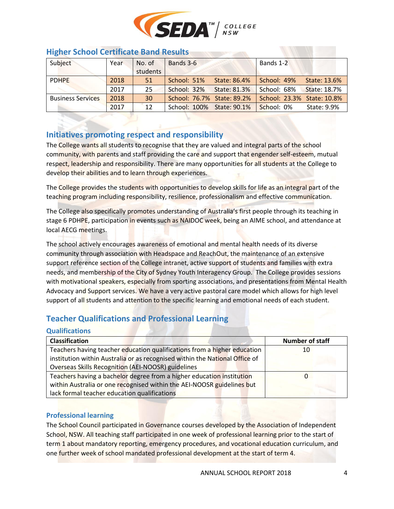

| <b>INSIEL SCHOOL CERTIFICATE DATIO RESULTS</b> |      |          |                            |              |                            |                     |
|------------------------------------------------|------|----------|----------------------------|--------------|----------------------------|---------------------|
| Subject                                        | Year | No. of   | Bands 3-6                  |              | Bands 1-2                  |                     |
|                                                |      | students |                            |              |                            |                     |
| <b>PDHPE</b>                                   | 2018 | 51       | School: 51%                | State: 86.4% | School: 49%                | State: 13.6%        |
|                                                | 2017 | 25       | School: 32% State: 81.3%   |              | School: 68%                | <b>State: 18.7%</b> |
| <b>Business Services</b>                       | 2018 | 30       | School: 76.7% State: 89.2% |              | School: 23.3% State: 10.8% |                     |
|                                                | 2017 | 12       | School: 100% State: 90.1%  |              | School: 0%                 | State: 9.9%         |

#### <span id="page-4-0"></span>**Higher School Certificate Band Results**

# <span id="page-4-1"></span>**Initiatives promoting respect and responsibility**

The College wants all students to recognise that they are valued and integral parts of the school community, with parents and staff providing the care and support that engender self-esteem, mutual respect, leadership and responsibility. There are many opportunities for all students at the College to develop their abilities and to learn through experiences.

The College provides the students with opportunities to develop skills for life as an integral part of the teaching program including responsibility, resilience, professionalism and effective communication.

The College also specifically promotes understanding of Australia's first people through its teaching in stage 6 PDHPE, participation in events such as NAIDOC week, being an AIME school, and attendance at local AECG meetings.

The school actively encourages awareness of emotional and mental health needs of its diverse community through association with Headspace and ReachOut, the maintenance of an extensive support reference section of the College intranet, active support of students and families with extra needs, and membership of the City of Sydney Youth Interagency Group. The College provides sessions with motivational speakers, especially from sporting associations, and presentations from Mental Health Advocacy and Support services. We have a very active pastoral care model which allows for high level support of all students and attention to the specific learning and emotional needs of each student.

# <span id="page-4-2"></span>**Teacher Qualifications and Professional Learning**

<span id="page-4-3"></span>

| <b>Qualifications</b>                                                       |                        |
|-----------------------------------------------------------------------------|------------------------|
| <b>Classification</b>                                                       | <b>Number of staff</b> |
| Teachers having teacher education qualifications from a higher education    | 10                     |
| institution within Australia or as recognised within the National Office of |                        |
| Overseas Skills Recognition (AEI-NOOSR) guidelines                          |                        |
| Teachers having a bachelor degree from a higher education institution       | Ü                      |
| within Australia or one recognised within the AEI-NOOSR guidelines but      |                        |
| lack formal teacher education qualifications                                |                        |

#### <span id="page-4-4"></span>**Professional learning**

The School Council participated in Governance courses developed by the Association of Independent School, NSW. All teaching staff participated in one week of professional learning prior to the start of term 1 about mandatory reporting, emergency procedures, and vocational education curriculum, and one further week of school mandated professional development at the start of term 4.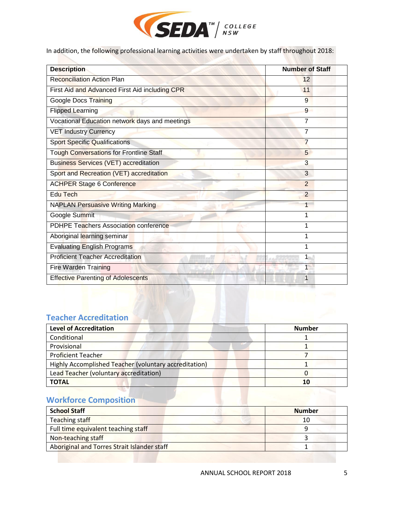

In addition, the following professional learning activities were undertaken by staff throughout 2018:

| <b>Description</b>                             | <b>Number of Staff</b> |
|------------------------------------------------|------------------------|
| <b>Reconciliation Action Plan</b>              | 12                     |
| First Aid and Advanced First Aid including CPR | 11                     |
| <b>Google Docs Training</b>                    | 9                      |
| <b>Flipped Learning</b>                        | 9                      |
| Vocational Education network days and meetings | 7                      |
| <b>VET Industry Currency</b>                   | 7                      |
| <b>Sport Specific Qualifications</b>           | 7                      |
| <b>Tough Conversations for Frontline Staff</b> | 5                      |
| <b>Business Services (VET) accreditation</b>   | 3                      |
| Sport and Recreation (VET) accreditation       | 3                      |
| <b>ACHPER Stage 6 Conference</b>               | $\overline{2}$         |
| Edu Tech                                       | $\overline{2}$         |
| <b>NAPLAN Persuasive Writing Marking</b>       |                        |
| Google Summit                                  | 1                      |
| <b>PDHPE Teachers Association conference</b>   | 1                      |
| Aboriginal learning seminar                    | 1                      |
| <b>Evaluating English Programs</b>             | 1                      |
| <b>Proficient Teacher Accreditation</b>        | 1                      |
| <b>Fire Warden Training</b>                    | $\overline{1}$         |
| <b>Effective Parenting of Adolescents</b>      | 1                      |

# <span id="page-5-0"></span>**Teacher Accreditation**

| Level of Accreditation                                | <b>Number</b> |
|-------------------------------------------------------|---------------|
| Conditional                                           |               |
| Provisional                                           |               |
| <b>Proficient Teacher</b>                             |               |
| Highly Accomplished Teacher (voluntary accreditation) |               |
| Lead Teacher (voluntary accreditation)                |               |
| <b>TOTAL</b>                                          | 10            |

# <span id="page-5-1"></span>**Workforce Composition**

| <b>School Staff</b>                         | <b>Number</b> |
|---------------------------------------------|---------------|
| Teaching staff                              | 10            |
| Full time equivalent teaching staff         |               |
| Non-teaching staff                          |               |
| Aboriginal and Torres Strait Islander staff |               |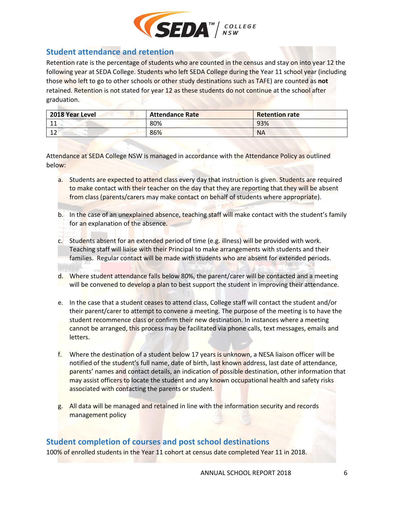

#### <span id="page-6-0"></span>**Student attendance and retention**

Retention rate is the percentage of students who are counted in the census and stay on into year 12 the following year at SEDA College. Students who left SEDA College during the Year 11 school year (including those who left to go to other schools or other study destinations such as TAFE) are counted as **not**  retained. Retention is not stated for year 12 as these students do not continue at the school after graduation.

| 2018 Year Level | <b>Attendance Rate</b> | <b>Retention rate</b> |
|-----------------|------------------------|-----------------------|
| ᆂᆂ              | 80%                    | 93%                   |
| 12<br>∸∸        | 86%                    | <b>NA</b>             |

Attendance at SEDA College NSW is managed in accordance with the Attendance Policy as outlined below:

- a. Students are expected to attend class every day that instruction is given. Students are required to make contact with their teacher on the day that they are reporting that they will be absent from class (parents/carers may make contact on behalf of students where appropriate).
- b. In the case of an unexplained absence, teaching staff will make contact with the student's family for an explanation of the absence.
- c. Students absent for an extended period of time (e.g. illness) will be provided with work. Teaching staff will liaise with their Principal to make arrangements with students and their families. Regular contact will be made with students who are absent for extended periods.
- d. Where student attendance falls below 80%, the parent/carer will be contacted and a meeting will be convened to develop a plan to best support the student in improving their attendance.
- e. In the case that a student ceases to attend class, College staff will contact the student and/or their parent/carer to attempt to convene a meeting. The purpose of the meeting is to have the student recommence class or confirm their new destination. In instances where a meeting cannot be arranged, this process may be facilitated via phone calls, text messages, emails and letters.
- f. Where the destination of a student below 17 years is unknown, a NESA liaison officer will be notified of the student's full name, date of birth, last known address, last date of attendance, parents' names and contact details, an indication of possible destination, other information that may assist officers to locate the student and any known occupational health and safety risks associated with contacting the parents or student.
- g. All data will be managed and retained in line with the information security and records management policy

#### <span id="page-6-1"></span>**Student completion of courses and post school destinations**

100% of enrolled students in the Year 11 cohort at census date completed Year 11 in 2018.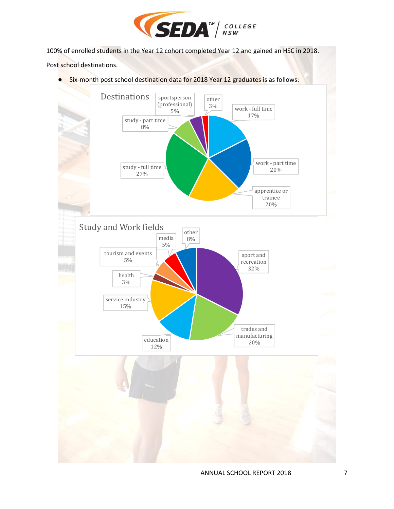

100% of enrolled students in the Year 12 cohort completed Year 12 and gained an HSC in 2018.

Post school destinations.

● Six-month post school destination data for 2018 Year 12 graduates is as follows:

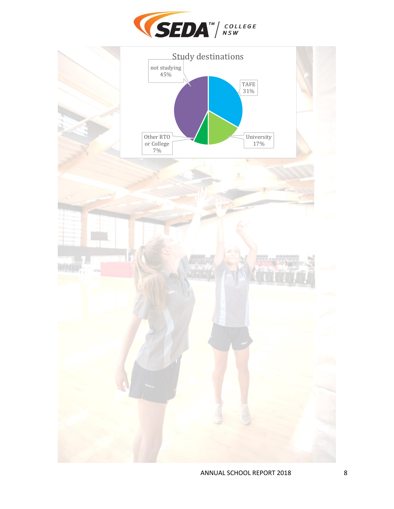

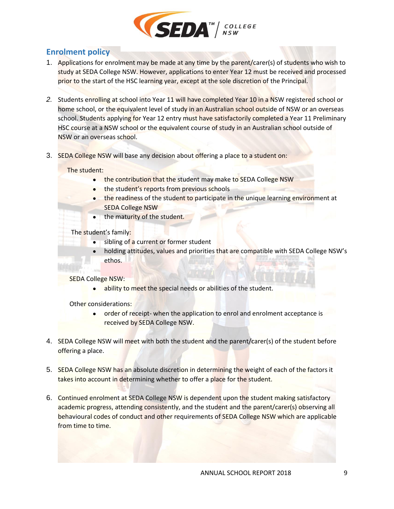

# <span id="page-9-0"></span>**Enrolment policy**

- 1. Applications for enrolment may be made at any time by the parent/carer(s) of students who wish to study at SEDA College NSW. However, applications to enter Year 12 must be received and processed prior to the start of the HSC learning year, except at the sole discretion of the Principal.
- *2.* Students enrolling at school into Year 11 will have completed Year 10 in a NSW registered school or home school, or the equivalent level of study in an Australian school outside of NSW or an overseas school. Students applying for Year 12 entry must have satisfactorily completed a Year 11 Preliminary HSC course at a NSW school or the equivalent course of study in an Australian school outside of NSW or an overseas school.
- 3. SEDA College NSW will base any decision about offering a place to a student on:

#### The student:

- the contribution that the student may make to SEDA College NSW
- the student's reports from previous schools
- **the readiness of the student to participate in the unique learning environment at** SEDA College NSW
- the maturity of the student.
- The student's family:
	- sibling of a current or former student
		- holding attitudes, values and priorities that are compatible with SEDA College NSW's [ethos.](http://docs.aisnsw.edu.au/gep/Attendance/ENROLMENT/Ex-current%20version(s)/Interim%20versions%20%201.0/Working%20Version%201.0%202017/03a%20SAMPLE%20ENROLMENT%20POLICY%2022112016%20Final.docx)

#### SEDA College NSW:

ability to meet the special needs or abilities of the student.

[Other considerations:](http://docs.aisnsw.edu.au/gep/Attendance/ENROLMENT/Ex-current%20version(s)/Interim%20versions%20%201.0/Working%20Version%201.0%202017/03a%20SAMPLE%20ENROLMENT%20POLICY%2022112016%20Final.docx)

- order of receipt- when the application to enrol and enrolment acceptance is received by SEDA College NSW.
- 4. SEDA College NSW will meet with both the student and the parent/carer(s) of the student before offering a place.
- 5. SEDA College NSW has an absolute discretion in determining the weight of each of the factors it takes into account in determining whether to offer a place for the student.
- 6. Continued enrolment at SEDA College NSW is dependent upon the student making satisfactory academic progress, attending consistently, and the student and the parent/carer(s) observing all behavioural codes of conduct and other requirements of SEDA College NSW which are applicable from time to time.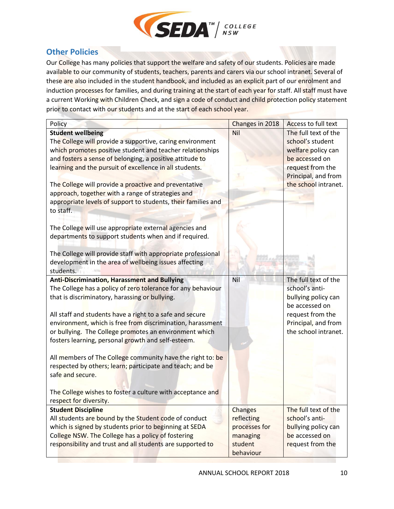

# <span id="page-10-0"></span>**Other Policies**

Our College has many policies that support the welfare and safety of our students. Policies are made available to our community of students, teachers, parents and carers via our school intranet. Several of these are also included in the student handbook, and included as an explicit part of our enrolment and induction processes for families, and during training at the start of each year for staff. All staff must have a current Working with Children Check, and sign a code of conduct and child protection policy statement prior to contact with our students and at the start of each school year.

| Policy                                                                                                                                                                                                                                                                                                                                                                                                                                                                                                                                                                                                                                                                                                                         | Changes in 2018                                                      | Access to full text                                                                                                                                 |
|--------------------------------------------------------------------------------------------------------------------------------------------------------------------------------------------------------------------------------------------------------------------------------------------------------------------------------------------------------------------------------------------------------------------------------------------------------------------------------------------------------------------------------------------------------------------------------------------------------------------------------------------------------------------------------------------------------------------------------|----------------------------------------------------------------------|-----------------------------------------------------------------------------------------------------------------------------------------------------|
| <b>Student wellbeing</b><br>The College will provide a supportive, caring environment<br>which promotes positive student and teacher relationships<br>and fosters a sense of belonging, a positive attitude to<br>learning and the pursuit of excellence in all students.<br>The College will provide a proactive and preventative<br>approach, together with a range of strategies and<br>appropriate levels of support to students, their families and<br>to staff.<br>The College will use appropriate external agencies and<br>departments to support students when and if required.<br>The College will provide staff with appropriate professional<br>development in the area of wellbeing issues affecting<br>students. | Nil                                                                  | The full text of the<br>school's student<br>welfare policy can<br>be accessed on<br>request from the<br>Principal, and from<br>the school intranet. |
| <b>Anti-Discrimination, Harassment and Bullying</b><br>The College has a policy of zero tolerance for any behaviour<br>that is discriminatory, harassing or bullying.<br>All staff and students have a right to a safe and secure<br>environment, which is free from discrimination, harassment<br>or bullying. The College promotes an environment which<br>fosters learning, personal growth and self-esteem.<br>All members of The College community have the right to: be<br>respected by others; learn; participate and teach; and be<br>safe and secure.<br>The College wishes to foster a culture with acceptance and<br>respect for diversity.                                                                         | Nil                                                                  | The full text of the<br>school's anti-<br>bullying policy can<br>be accessed on<br>request from the<br>Principal, and from<br>the school intranet.  |
| <b>Student Discipline</b><br>All students are bound by the Student code of conduct<br>which is signed by students prior to beginning at SEDA<br>College NSW. The College has a policy of fostering<br>responsibility and trust and all students are supported to                                                                                                                                                                                                                                                                                                                                                                                                                                                               | <b>Changes</b><br>reflecting<br>processes for<br>managing<br>student | The full text of the<br>school's anti-<br>bullying policy can<br>be accessed on<br>request from the                                                 |
|                                                                                                                                                                                                                                                                                                                                                                                                                                                                                                                                                                                                                                                                                                                                | behaviour                                                            |                                                                                                                                                     |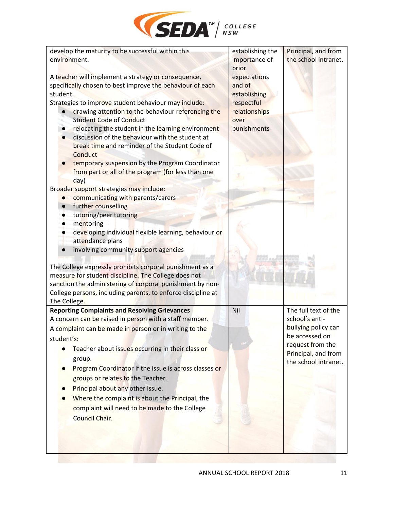

| develop the maturity to be successful within this                                                                | establishing the       | Principal, and from                         |
|------------------------------------------------------------------------------------------------------------------|------------------------|---------------------------------------------|
| environment.                                                                                                     | importance of<br>prior | the school intranet.                        |
| A teacher will implement a strategy or consequence,                                                              | expectations           |                                             |
| specifically chosen to best improve the behaviour of each                                                        | and of                 |                                             |
| student.                                                                                                         | establishing           |                                             |
| Strategies to improve student behaviour may include:                                                             | respectful             |                                             |
| drawing attention to the behaviour referencing the                                                               | relationships          |                                             |
| <b>Student Code of Conduct</b>                                                                                   | over                   |                                             |
| relocating the student in the learning environment<br>$\bullet$                                                  | punishments            |                                             |
| discussion of the behaviour with the student at                                                                  |                        |                                             |
| break time and reminder of the Student Code of                                                                   |                        |                                             |
| Conduct                                                                                                          |                        |                                             |
| temporary suspension by the Program Coordinator<br>from part or all of the program (for less than one            |                        |                                             |
| day)                                                                                                             |                        |                                             |
| Broader support strategies may include:                                                                          |                        |                                             |
| communicating with parents/carers<br>$\bullet$                                                                   |                        |                                             |
| further counselling<br>$\bullet$                                                                                 |                        |                                             |
| tutoring/peer tutoring<br>$\bullet$                                                                              |                        |                                             |
| mentoring<br>$\bullet$                                                                                           |                        |                                             |
| developing individual flexible learning, behaviour or                                                            |                        |                                             |
| attendance plans                                                                                                 |                        |                                             |
| involving community support agencies                                                                             |                        |                                             |
|                                                                                                                  |                        |                                             |
| The College expressly prohibits corporal punishment as a<br>measure for student discipline. The College does not |                        |                                             |
| sanction the administering of corporal punishment by non-                                                        |                        |                                             |
| College persons, including parents, to enforce discipline at                                                     |                        |                                             |
| The College.                                                                                                     |                        |                                             |
| <b>Reporting Complaints and Resolving Grievances</b>                                                             | Nil                    | The full text of the                        |
| A concern can be raised in person with a staff member.                                                           |                        | school's anti-                              |
| A complaint can be made in person or in writing to the                                                           |                        | bullying policy can                         |
| student's:                                                                                                       |                        | be accessed on                              |
| Teacher about issues occurring in their class or                                                                 |                        | request from the                            |
| group.                                                                                                           |                        | Principal, and from<br>the school intranet. |
| Program Coordinator if the issue is across classes or                                                            |                        |                                             |
| groups or relates to the Teacher.                                                                                |                        |                                             |
| Principal about any other issue.                                                                                 |                        |                                             |
| Where the complaint is about the Principal, the                                                                  |                        |                                             |
| complaint will need to be made to the College                                                                    |                        |                                             |
| <b>Council Chair.</b>                                                                                            |                        |                                             |
|                                                                                                                  |                        |                                             |
|                                                                                                                  |                        |                                             |
|                                                                                                                  |                        |                                             |
|                                                                                                                  |                        |                                             |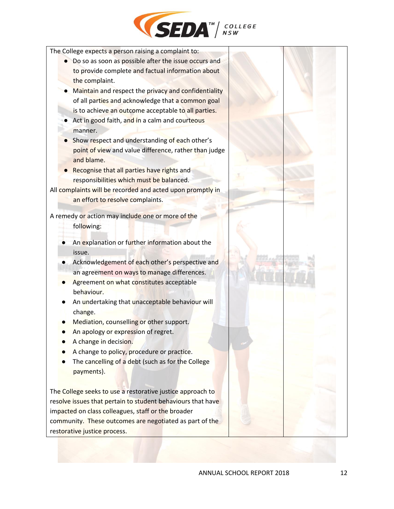

The College expects a person raising a complaint to:

- Do so as soon as possible after the issue occurs and to provide complete and factual information about the complaint.
- Maintain and respect the privacy and confidentiality of all parties and acknowledge that a common goal is to achieve an outcome acceptable to all parties.
- Act in good faith, and in a calm and courteous manner.
- Show respect and understanding of each other's point of view and value difference, rather than judge and blame.
- Recognise that all parties have rights and responsibilities which must be balanced.

All complaints will be recorded and acted upon promptly in an effort to resolve complaints.

A remedy or action may include one or more of the

following:

- An explanation or further information about the issue.
- Acknowledgement of each other's perspective and an agreement on ways to manage differences.
- **Agreement on what constitutes acceptable** behaviour.
- An undertaking that unacceptable behaviour will change.
- Mediation, counselling or other support.
- An apology or expression of regret.
- A change in decision.
- A change to policy, procedure or practice.
- The cancelling of a debt (such as for the College payments).

The College seeks to use a restorative justice approach to resolve issues that pertain to student behaviours that have impacted on class colleagues, staff or the broader community. These outcomes are negotiated as part of the restorative justice process.

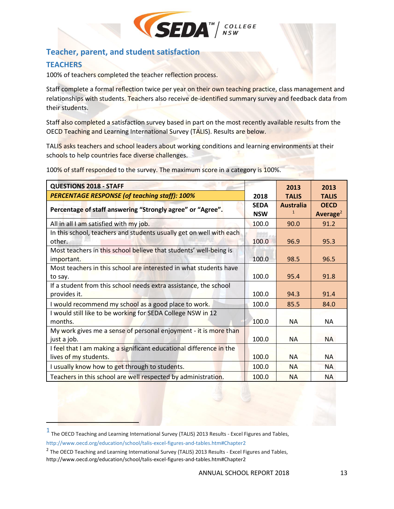

## <span id="page-13-0"></span>**Teacher, parent, and student satisfaction**

#### <span id="page-13-1"></span>**TEACHERS**

 $\overline{\phantom{a}}$ 

100% of teachers completed the teacher reflection process.

Staff complete a formal reflection twice per year on their own teaching practice, class management and relationships with students. Teachers also receive de-identified summary survey and feedback data from their students.

Staff also completed a satisfaction survey based in part on the most recently available results from the OECD Teaching and Learning International Survey (TALIS). Results are below.

TALIS asks teachers and school leaders about working conditions and learning environments at their schools to help countries face diverse challenges.

100% of staff responded to the survey. The maximum score in a category is 100%.

| <b>QUESTIONS 2018 - STAFF</b>                                                                |                           | 2013                             | 2013                                |
|----------------------------------------------------------------------------------------------|---------------------------|----------------------------------|-------------------------------------|
| <b>PERCENTAGE RESPONSE (of teaching staff): 100%</b>                                         | 2018                      | <b>TALIS</b>                     | <b>TALIS</b>                        |
| Percentage of staff answering "Strongly agree" or "Agree".                                   | <b>SEDA</b><br><b>NSW</b> | <b>Australia</b><br>$\mathbf{1}$ | <b>OECD</b><br>Average <sup>2</sup> |
| All in all I am satisfied with my job.                                                       | 100.0                     | 90.0                             | 91.2                                |
| In this school, teachers and students usually get on well with each<br>other.                | 100.0                     | 96.9                             | 95.3                                |
| Most teachers in this school believe that students' well-being is<br>important.              | 100.0                     | 98.5                             | 96.5                                |
| Most teachers in this school are interested in what students have<br>to say.                 | 100.0                     | 95.4                             | 91.8                                |
| If a student from this school needs extra assistance, the school<br>provides it.             | 100.0                     | 94.3                             | 91.4                                |
| I would recommend my school as a good place to work.                                         | 100.0                     | 85.5                             | 84.0                                |
| I would still like to be working for SEDA College NSW in 12<br>months.                       | 100.0                     | <b>NA</b>                        | <b>NA</b>                           |
| My work gives me a sense of personal enjoyment - it is more than<br>just a job.              | 100.0                     | NА                               | <b>NA</b>                           |
| I feel that I am making a significant educational difference in the<br>lives of my students. | 100.0                     | NA.                              | <b>NA</b>                           |
| I usually know how to get through to students.                                               | 100.0                     | <b>NA</b>                        | <b>NA</b>                           |
| Teachers in this school are well respected by administration.                                | 100.0                     | <b>NA</b>                        | <b>NA</b>                           |

 $<sup>1</sup>$  The OECD Teaching and Learning International Survey (TALIS) 2013 Results - Excel Figures and Tables,</sup> http://www.oecd.org/education/school/talis-excel-figures-and-tables.htm#Chapter2

<sup>&</sup>lt;sup>2</sup> The OECD Teaching and Learning International Survey (TALIS) 2013 Results - Excel Figures and Tables, http://www.oecd.org/education/school/talis-excel-figures-and-tables.htm#Chapter2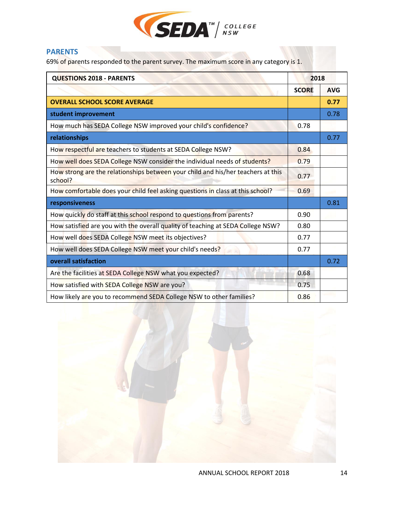

#### <span id="page-14-0"></span>**PARENTS**

69% of parents responded to the parent survey. The maximum score in any category is 1.

| <b>QUESTIONS 2018 - PARENTS</b>                                                             | 2018         |            |
|---------------------------------------------------------------------------------------------|--------------|------------|
|                                                                                             | <b>SCORE</b> | <b>AVG</b> |
| <b>OVERALL SCHOOL SCORE AVERAGE</b>                                                         |              | 0.77       |
| student improvement                                                                         |              | 0.78       |
| How much has SEDA College NSW improved your child's confidence?                             | 0.78         |            |
| relationships                                                                               |              | 0.77       |
| How respectful are teachers to students at SEDA College NSW?                                | 0.84         |            |
| How well does SEDA College NSW consider the individual needs of students?                   | 0.79         |            |
| How strong are the relationships between your child and his/her teachers at this<br>school? | 0.77         |            |
| How comfortable does your child feel asking questions in class at this school?              | 0.69         |            |
| responsiveness                                                                              |              | 0.81       |
| How quickly do staff at this school respond to questions from parents?                      | 0.90         |            |
| How satisfied are you with the overall quality of teaching at SEDA College NSW?             | 0.80         |            |
| How well does SEDA College NSW meet its objectives?                                         | 0.77         |            |
| How well does SEDA College NSW meet your child's needs?                                     | 0.77         |            |
| overall satisfaction                                                                        |              | 0.72       |
| Are the facilities at SEDA College NSW what you expected?                                   | 0.68         |            |
| How satisfied with SEDA College NSW are you?                                                | 0.75         |            |
| How likely are you to recommend SEDA College NSW to other families?                         | 0.86         |            |

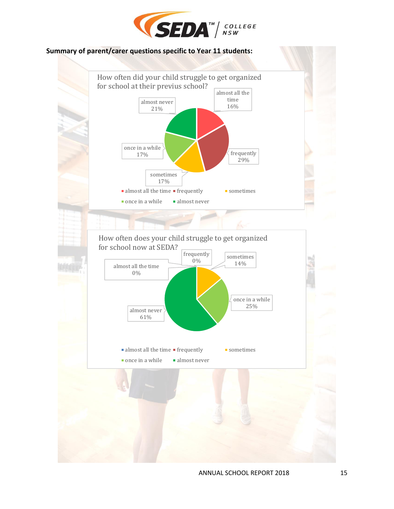

#### <span id="page-15-0"></span>**Summary of parent/carer questions specific to Year 11 students:**



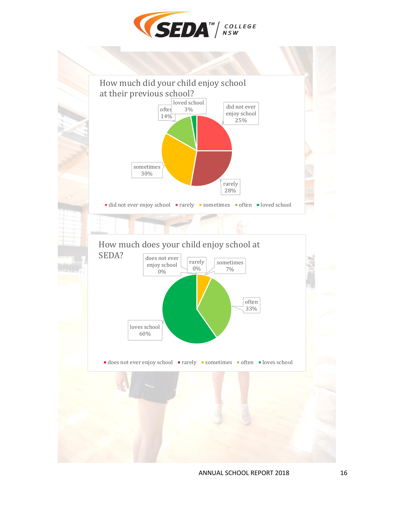

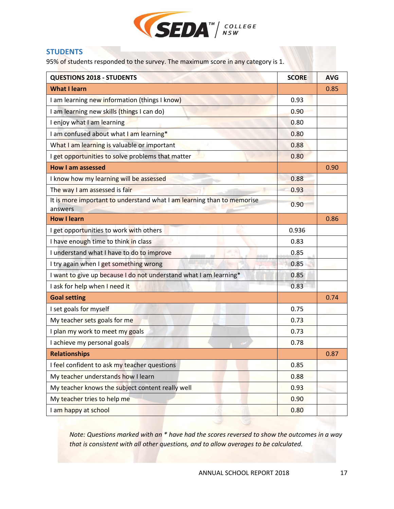

#### <span id="page-17-0"></span>**STUDENTS**

95% of students responded to the survey. The maximum score in any category is 1.

| <b>QUESTIONS 2018 - STUDENTS</b>                                                  | <b>SCORE</b> | <b>AVG</b> |
|-----------------------------------------------------------------------------------|--------------|------------|
| <b>What I learn</b>                                                               |              | 0.85       |
| I am learning new information (things I know)                                     | 0.93         |            |
| I am learning new skills (things I can do)                                        | 0.90         |            |
| I enjoy what I am learning                                                        | 0.80         |            |
| I am confused about what I am learning*                                           | 0.80         |            |
| What I am learning is valuable or important                                       | 0.88         |            |
| I get opportunities to solve problems that matter                                 | 0.80         |            |
| <b>How I am assessed</b>                                                          |              | 0.90       |
| I know how my learning will be assessed                                           | 0.88         |            |
| The way I am assessed is fair                                                     | 0.93         |            |
| It is more important to understand what I am learning than to memorise<br>answers | 0.90         |            |
| <b>How I learn</b>                                                                |              | 0.86       |
| I get opportunities to work with others                                           | 0.936        |            |
| I have enough time to think in class                                              | 0.83         |            |
| I understand what I have to do to improve                                         | 0.85         |            |
| I try again when I get something wrong                                            | 0.85         |            |
| I want to give up because I do not understand what I am learning*                 | 0.85         |            |
| I ask for help when I need it                                                     | 0.83         |            |
| <b>Goal setting</b>                                                               |              | 0.74       |
| I set goals for myself                                                            | 0.75         |            |
| My teacher sets goals for me                                                      | 0.73         |            |
| I plan my work to meet my goals                                                   | 0.73         |            |
| I achieve my personal goals                                                       | 0.78         |            |
| <b>Relationships</b>                                                              |              | 0.87       |
| I feel confident to ask my teacher questions                                      | 0.85         |            |
| My teacher understands how I learn                                                | 0.88         |            |
| My teacher knows the subject content really well                                  | 0.93         |            |
| My teacher tries to help me                                                       | 0.90         |            |
| I am happy at school                                                              | 0.80         |            |

*Note: Questions marked with an \* have had the scores reversed to show the outcomes in a way that is consistent with all other questions, and to allow averages to be calculated.*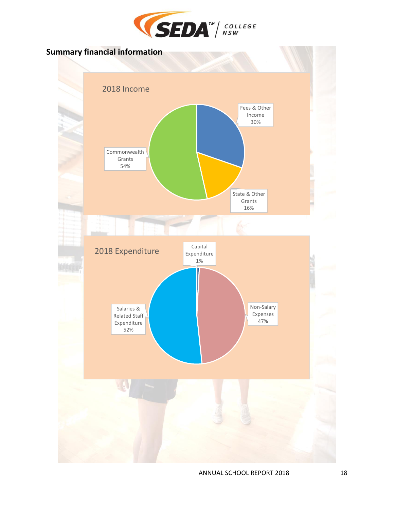

<span id="page-18-0"></span>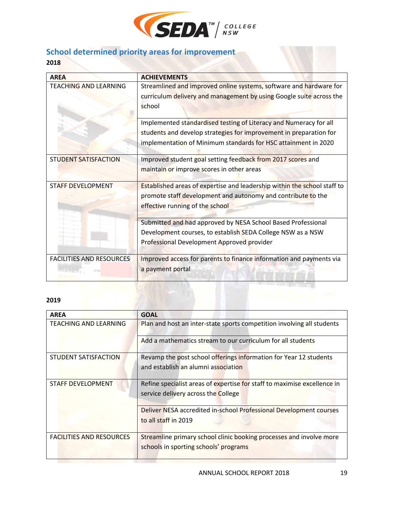

# <span id="page-19-0"></span>**School determined priority areas for improvement**

**2018**

| <b>AREA</b>                     | <b>ACHIEVEMENTS</b>                                                                                                                                                                                       |
|---------------------------------|-----------------------------------------------------------------------------------------------------------------------------------------------------------------------------------------------------------|
| <b>TEACHING AND LEARNING</b>    | Streamlined and improved online systems, software and hardware for<br>curriculum delivery and management by using Google suite across the<br>school                                                       |
|                                 | Implemented standardised testing of Literacy and Numeracy for all<br>students and develop strategies for improvement in preparation for<br>implementation of Minimum standards for HSC attainment in 2020 |
| <b>STUDENT SATISFACTION</b>     | Improved student goal setting feedback from 2017 scores and<br>maintain or improve scores in other areas                                                                                                  |
| <b>STAFF DEVELOPMENT</b>        | Established areas of expertise and leadership within the school staff to<br>promote staff development and autonomy and contribute to the<br>effective running of the school                               |
|                                 | Submitted and had approved by NESA School Based Professional<br>Development courses, to establish SEDA College NSW as a NSW<br>Professional Development Approved provider                                 |
| <b>FACILITIES AND RESOURCES</b> | Improved access for parents to finance information and payments via<br>a payment portal                                                                                                                   |

#### **2019**

| <b>AREA</b>                     | <b>GOAL</b>                                                              |
|---------------------------------|--------------------------------------------------------------------------|
| <b>TEACHING AND LEARNING</b>    | Plan and host an inter-state sports competition involving all students   |
|                                 | Add a mathematics stream to our curriculum for all students              |
| STUDENT SATISFACTION            | Revamp the post school offerings information for Year 12 students        |
|                                 | and establish an alumni association                                      |
| <b>STAFF DEVELOPMENT</b>        | Refine specialist areas of expertise for staff to maximise excellence in |
|                                 | service delivery across the College                                      |
|                                 | Deliver NESA accredited in-school Professional Development courses       |
|                                 | to all staff in 2019                                                     |
| <b>FACILITIES AND RESOURCES</b> | Streamline primary school clinic booking processes and involve more      |
|                                 | schools in sporting schools' programs                                    |